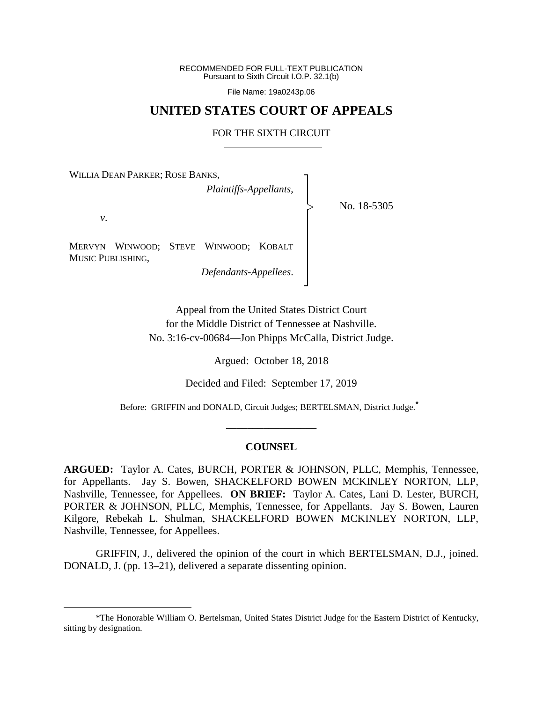RECOMMENDED FOR FULL-TEXT PUBLICATION Pursuant to Sixth Circuit I.O.P. 32.1(b)

File Name: 19a0243p.06

# **UNITED STATES COURT OF APPEALS**

#### FOR THE SIXTH CIRCUIT

┐ │ │ │ │ │ │ │ │ ┘

|<br>|<br>|

WILLIA DEAN PARKER; ROSE BANKS,

*Plaintiffs-Appellants*,

No. 18-5305

*v*.

 $\overline{a}$ 

MERVYN WINWOOD; STEVE WINWOOD; KOBALT MUSIC PUBLISHING,

*Defendants-Appellees*.

Appeal from the United States District Court for the Middle District of Tennessee at Nashville. No. 3:16-cv-00684—Jon Phipps McCalla, District Judge.

Argued: October 18, 2018

Decided and Filed: September 17, 2019

Before: GRIFFIN and DONALD, Circuit Judges; BERTELSMAN, District Judge.**\***

### **COUNSEL**

\_\_\_\_\_\_\_\_\_\_\_\_\_\_\_\_\_

**ARGUED:** Taylor A. Cates, BURCH, PORTER & JOHNSON, PLLC, Memphis, Tennessee, for Appellants. Jay S. Bowen, SHACKELFORD BOWEN MCKINLEY NORTON, LLP, Nashville, Tennessee, for Appellees. **ON BRIEF:** Taylor A. Cates, Lani D. Lester, BURCH, PORTER & JOHNSON, PLLC, Memphis, Tennessee, for Appellants. Jay S. Bowen, Lauren Kilgore, Rebekah L. Shulman, SHACKELFORD BOWEN MCKINLEY NORTON, LLP, Nashville, Tennessee, for Appellees.

GRIFFIN, J., delivered the opinion of the court in which BERTELSMAN, D.J., joined. DONALD, J. (pp. 13–21), delivered a separate dissenting opinion.

<sup>\*</sup>The Honorable William O. Bertelsman, United States District Judge for the Eastern District of Kentucky, sitting by designation.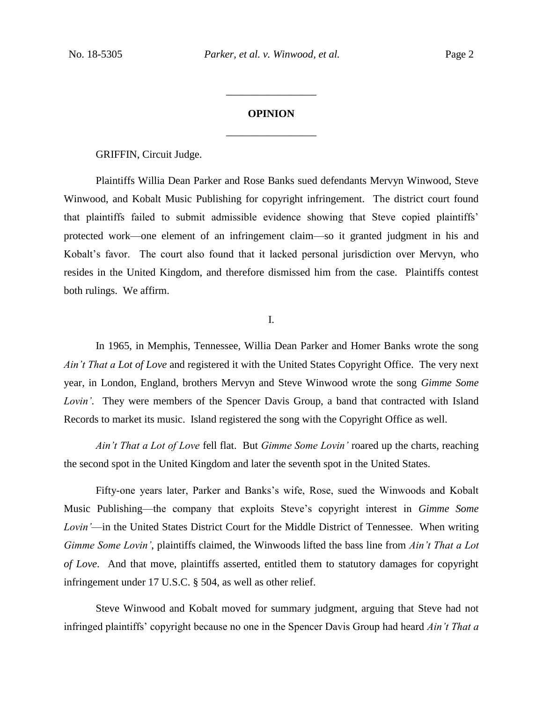# **OPINION** \_\_\_\_\_\_\_\_\_\_\_\_\_\_\_\_\_

\_\_\_\_\_\_\_\_\_\_\_\_\_\_\_\_\_

GRIFFIN, Circuit Judge.

Plaintiffs Willia Dean Parker and Rose Banks sued defendants Mervyn Winwood, Steve Winwood, and Kobalt Music Publishing for copyright infringement. The district court found that plaintiffs failed to submit admissible evidence showing that Steve copied plaintiffs' protected work—one element of an infringement claim—so it granted judgment in his and Kobalt's favor. The court also found that it lacked personal jurisdiction over Mervyn, who resides in the United Kingdom, and therefore dismissed him from the case. Plaintiffs contest both rulings. We affirm.

I.

In 1965, in Memphis, Tennessee, Willia Dean Parker and Homer Banks wrote the song *Ain't That a Lot of Love* and registered it with the United States Copyright Office. The very next year, in London, England, brothers Mervyn and Steve Winwood wrote the song *Gimme Some Lovin'*. They were members of the Spencer Davis Group, a band that contracted with Island Records to market its music. Island registered the song with the Copyright Office as well.

*Ain't That a Lot of Love* fell flat. But *Gimme Some Lovin'* roared up the charts, reaching the second spot in the United Kingdom and later the seventh spot in the United States.

Fifty-one years later, Parker and Banks's wife, Rose, sued the Winwoods and Kobalt Music Publishing—the company that exploits Steve's copyright interest in *Gimme Some Lovin'*—in the United States District Court for the Middle District of Tennessee. When writing *Gimme Some Lovin'*, plaintiffs claimed, the Winwoods lifted the bass line from *Ain't That a Lot of Love*. And that move, plaintiffs asserted, entitled them to statutory damages for copyright infringement under 17 U.S.C. § 504, as well as other relief.

Steve Winwood and Kobalt moved for summary judgment, arguing that Steve had not infringed plaintiffs' copyright because no one in the Spencer Davis Group had heard *Ain't That a*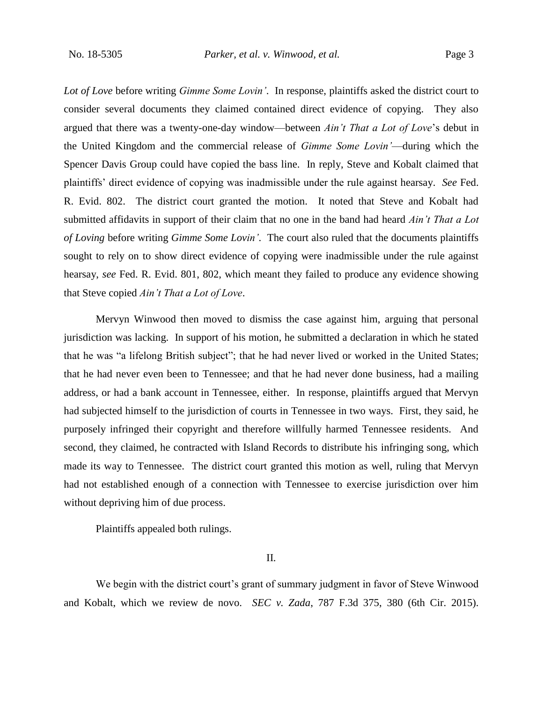*Lot of Love* before writing *Gimme Some Lovin'*. In response, plaintiffs asked the district court to consider several documents they claimed contained direct evidence of copying. They also argued that there was a twenty-one-day window—between *Ain't That a Lot of Love*'s debut in the United Kingdom and the commercial release of *Gimme Some Lovin'*—during which the Spencer Davis Group could have copied the bass line. In reply, Steve and Kobalt claimed that plaintiffs' direct evidence of copying was inadmissible under the rule against hearsay. *See* Fed. R. Evid. 802. The district court granted the motion. It noted that Steve and Kobalt had submitted affidavits in support of their claim that no one in the band had heard *Ain't That a Lot of Loving* before writing *Gimme Some Lovin'*. The court also ruled that the documents plaintiffs sought to rely on to show direct evidence of copying were inadmissible under the rule against hearsay, *see* Fed. R. Evid. 801, 802, which meant they failed to produce any evidence showing that Steve copied *Ain't That a Lot of Love*.

Mervyn Winwood then moved to dismiss the case against him, arguing that personal jurisdiction was lacking. In support of his motion, he submitted a declaration in which he stated that he was "a lifelong British subject"; that he had never lived or worked in the United States; that he had never even been to Tennessee; and that he had never done business, had a mailing address, or had a bank account in Tennessee, either. In response, plaintiffs argued that Mervyn had subjected himself to the jurisdiction of courts in Tennessee in two ways. First, they said, he purposely infringed their copyright and therefore willfully harmed Tennessee residents. And second, they claimed, he contracted with Island Records to distribute his infringing song, which made its way to Tennessee. The district court granted this motion as well, ruling that Mervyn had not established enough of a connection with Tennessee to exercise jurisdiction over him without depriving him of due process.

Plaintiffs appealed both rulings.

II.

We begin with the district court's grant of summary judgment in favor of Steve Winwood and Kobalt, which we review de novo. *SEC v. Zada*, 787 F.3d 375, 380 (6th Cir. 2015).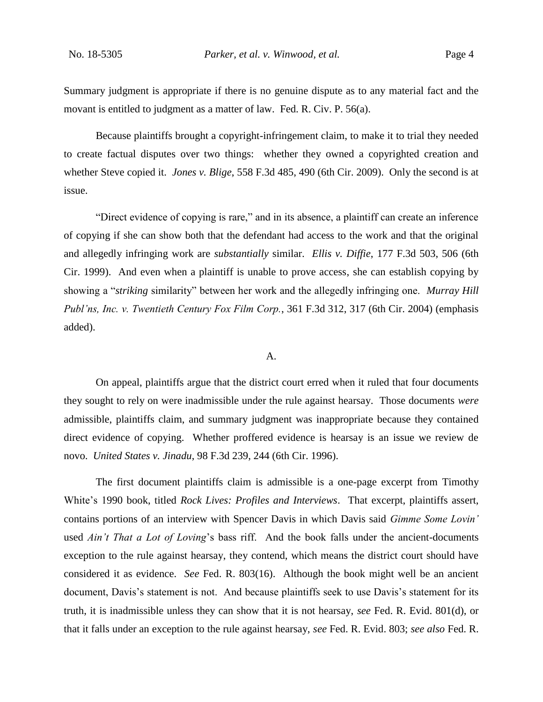Summary judgment is appropriate if there is no genuine dispute as to any material fact and the movant is entitled to judgment as a matter of law. Fed. R. Civ. P. 56(a).

Because plaintiffs brought a copyright-infringement claim, to make it to trial they needed to create factual disputes over two things: whether they owned a copyrighted creation and whether Steve copied it. *Jones v. Blige*, 558 F.3d 485, 490 (6th Cir. 2009). Only the second is at issue.

"Direct evidence of copying is rare," and in its absence, a plaintiff can create an inference of copying if she can show both that the defendant had access to the work and that the original and allegedly infringing work are *substantially* similar. *Ellis v. Diffie*, 177 F.3d 503, 506 (6th Cir. 1999). And even when a plaintiff is unable to prove access, she can establish copying by showing a "*striking* similarity" between her work and the allegedly infringing one. *Murray Hill Publ'ns, Inc. v. Twentieth Century Fox Film Corp.*, 361 F.3d 312, 317 (6th Cir. 2004) (emphasis added).

### A.

On appeal, plaintiffs argue that the district court erred when it ruled that four documents they sought to rely on were inadmissible under the rule against hearsay. Those documents *were* admissible, plaintiffs claim, and summary judgment was inappropriate because they contained direct evidence of copying. Whether proffered evidence is hearsay is an issue we review de novo. *United States v. Jinadu*, 98 F.3d 239, 244 (6th Cir. 1996).

The first document plaintiffs claim is admissible is a one-page excerpt from Timothy White's 1990 book, titled *Rock Lives: Profiles and Interviews*. That excerpt, plaintiffs assert, contains portions of an interview with Spencer Davis in which Davis said *Gimme Some Lovin'* used *Ain't That a Lot of Loving*'s bass riff. And the book falls under the ancient-documents exception to the rule against hearsay, they contend, which means the district court should have considered it as evidence. *See* Fed. R. 803(16). Although the book might well be an ancient document, Davis's statement is not. And because plaintiffs seek to use Davis's statement for its truth, it is inadmissible unless they can show that it is not hearsay, *see* Fed. R. Evid. 801(d), or that it falls under an exception to the rule against hearsay, *see* Fed. R. Evid. 803; *see also* Fed. R.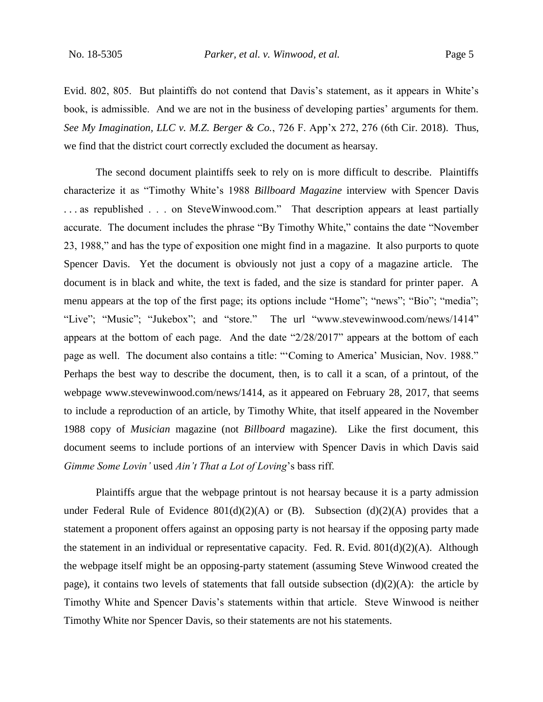Evid. 802, 805. But plaintiffs do not contend that Davis's statement, as it appears in White's book, is admissible. And we are not in the business of developing parties' arguments for them. *See My Imagination, LLC v. M.Z. Berger & Co.*, 726 F. App'x 272, 276 (6th Cir. 2018). Thus, we find that the district court correctly excluded the document as hearsay.

The second document plaintiffs seek to rely on is more difficult to describe. Plaintiffs characterize it as "Timothy White's 1988 *Billboard Magazine* interview with Spencer Davis . . . as republished . . . on SteveWinwood.com." That description appears at least partially accurate. The document includes the phrase "By Timothy White," contains the date "November 23, 1988," and has the type of exposition one might find in a magazine. It also purports to quote Spencer Davis. Yet the document is obviously not just a copy of a magazine article. The document is in black and white, the text is faded, and the size is standard for printer paper. A menu appears at the top of the first page; its options include "Home"; "news"; "Bio"; "media"; "Live"; "Music"; "Jukebox"; and "store." The url "www.stevewinwood.com/news/1414" appears at the bottom of each page. And the date "2/28/2017" appears at the bottom of each page as well. The document also contains a title: "'Coming to America' Musician, Nov. 1988." Perhaps the best way to describe the document, then, is to call it a scan, of a printout, of the webpage www.stevewinwood.com/news/1414, as it appeared on February 28, 2017, that seems to include a reproduction of an article, by Timothy White, that itself appeared in the November 1988 copy of *Musician* magazine (not *Billboard* magazine). Like the first document, this document seems to include portions of an interview with Spencer Davis in which Davis said *Gimme Some Lovin'* used *Ain't That a Lot of Loving*'s bass riff.

Plaintiffs argue that the webpage printout is not hearsay because it is a party admission under Federal Rule of Evidence  $801(d)(2)(A)$  or (B). Subsection (d)(2)(A) provides that a statement a proponent offers against an opposing party is not hearsay if the opposing party made the statement in an individual or representative capacity. Fed. R. Evid. 801(d)(2)(A). Although the webpage itself might be an opposing-party statement (assuming Steve Winwood created the page), it contains two levels of statements that fall outside subsection  $(d)(2)(A)$ : the article by Timothy White and Spencer Davis's statements within that article. Steve Winwood is neither Timothy White nor Spencer Davis, so their statements are not his statements.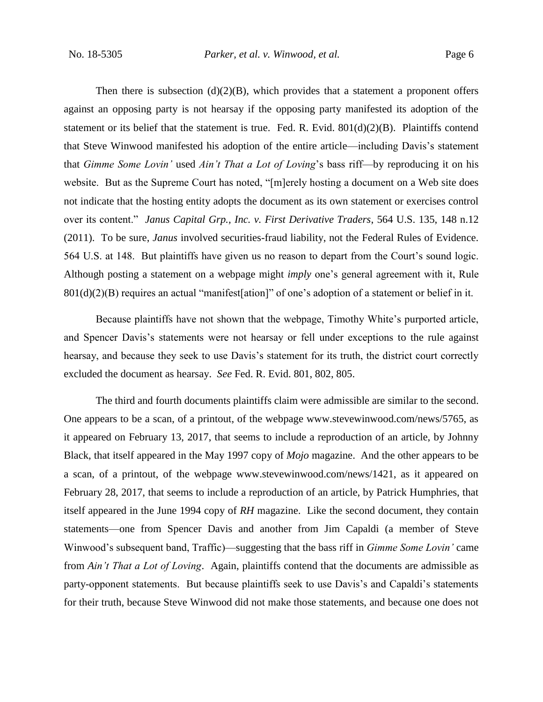Then there is subsection  $(d)(2)(B)$ , which provides that a statement a proponent offers against an opposing party is not hearsay if the opposing party manifested its adoption of the statement or its belief that the statement is true. Fed. R. Evid. 801(d)(2)(B). Plaintiffs contend that Steve Winwood manifested his adoption of the entire article—including Davis's statement that *Gimme Some Lovin'* used *Ain't That a Lot of Loving*'s bass riff—by reproducing it on his website. But as the Supreme Court has noted, "[m]erely hosting a document on a Web site does not indicate that the hosting entity adopts the document as its own statement or exercises control over its content." *Janus Capital Grp., Inc. v. First Derivative Traders*, 564 U.S. 135, 148 n.12 (2011). To be sure, *Janus* involved securities-fraud liability, not the Federal Rules of Evidence. 564 U.S. at 148. But plaintiffs have given us no reason to depart from the Court's sound logic. Although posting a statement on a webpage might *imply* one's general agreement with it, Rule 801(d)(2)(B) requires an actual "manifest[ation]" of one's adoption of a statement or belief in it.

Because plaintiffs have not shown that the webpage, Timothy White's purported article, and Spencer Davis's statements were not hearsay or fell under exceptions to the rule against hearsay, and because they seek to use Davis's statement for its truth, the district court correctly excluded the document as hearsay. *See* Fed. R. Evid. 801, 802, 805.

The third and fourth documents plaintiffs claim were admissible are similar to the second. One appears to be a scan, of a printout, of the webpage www.stevewinwood.com/news/5765, as it appeared on February 13, 2017, that seems to include a reproduction of an article, by Johnny Black, that itself appeared in the May 1997 copy of *Mojo* magazine. And the other appears to be a scan, of a printout, of the webpage www.stevewinwood.com/news/1421, as it appeared on February 28, 2017, that seems to include a reproduction of an article, by Patrick Humphries, that itself appeared in the June 1994 copy of *RH* magazine. Like the second document, they contain statements—one from Spencer Davis and another from Jim Capaldi (a member of Steve Winwood's subsequent band, Traffic)—suggesting that the bass riff in *Gimme Some Lovin'* came from *Ain't That a Lot of Loving*. Again, plaintiffs contend that the documents are admissible as party-opponent statements. But because plaintiffs seek to use Davis's and Capaldi's statements for their truth, because Steve Winwood did not make those statements, and because one does not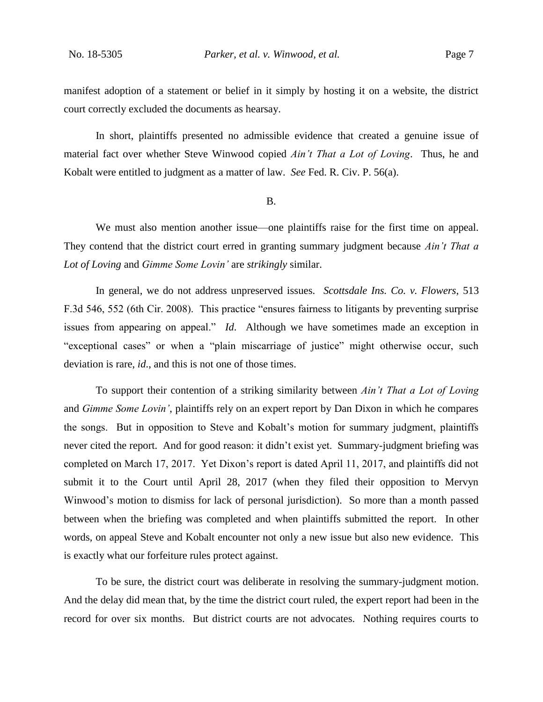manifest adoption of a statement or belief in it simply by hosting it on a website, the district court correctly excluded the documents as hearsay.

In short, plaintiffs presented no admissible evidence that created a genuine issue of material fact over whether Steve Winwood copied *Ain't That a Lot of Loving*. Thus, he and Kobalt were entitled to judgment as a matter of law. *See* Fed. R. Civ. P. 56(a).

B.

We must also mention another issue—one plaintiffs raise for the first time on appeal. They contend that the district court erred in granting summary judgment because *Ain't That a Lot of Loving* and *Gimme Some Lovin'* are *strikingly* similar.

In general, we do not address unpreserved issues. *Scottsdale Ins. Co. v. Flowers*, 513 F.3d 546, 552 (6th Cir. 2008). This practice "ensures fairness to litigants by preventing surprise issues from appearing on appeal." *Id*. Although we have sometimes made an exception in "exceptional cases" or when a "plain miscarriage of justice" might otherwise occur, such deviation is rare, *id*., and this is not one of those times.

To support their contention of a striking similarity between *Ain't That a Lot of Loving*  and *Gimme Some Lovin'*, plaintiffs rely on an expert report by Dan Dixon in which he compares the songs. But in opposition to Steve and Kobalt's motion for summary judgment, plaintiffs never cited the report. And for good reason: it didn't exist yet. Summary-judgment briefing was completed on March 17, 2017. Yet Dixon's report is dated April 11, 2017, and plaintiffs did not submit it to the Court until April 28, 2017 (when they filed their opposition to Mervyn Winwood's motion to dismiss for lack of personal jurisdiction). So more than a month passed between when the briefing was completed and when plaintiffs submitted the report. In other words, on appeal Steve and Kobalt encounter not only a new issue but also new evidence. This is exactly what our forfeiture rules protect against.

To be sure, the district court was deliberate in resolving the summary-judgment motion. And the delay did mean that, by the time the district court ruled, the expert report had been in the record for over six months. But district courts are not advocates. Nothing requires courts to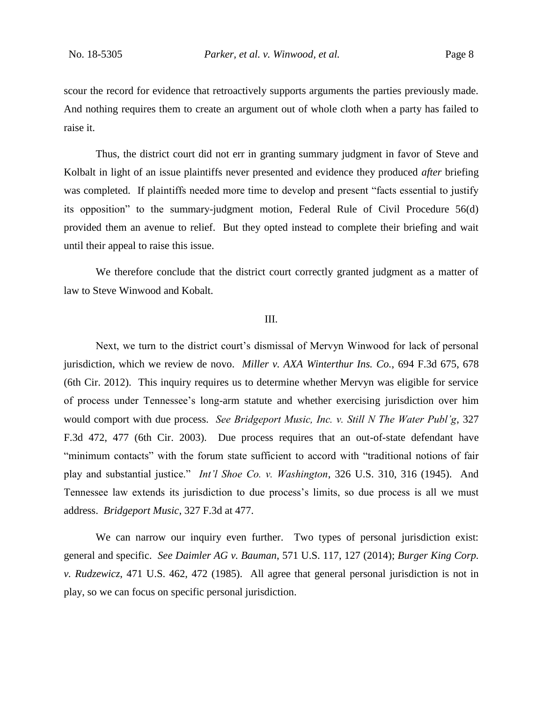scour the record for evidence that retroactively supports arguments the parties previously made. And nothing requires them to create an argument out of whole cloth when a party has failed to raise it.

Thus, the district court did not err in granting summary judgment in favor of Steve and Kolbalt in light of an issue plaintiffs never presented and evidence they produced *after* briefing was completed. If plaintiffs needed more time to develop and present "facts essential to justify its opposition" to the summary-judgment motion, Federal Rule of Civil Procedure 56(d) provided them an avenue to relief. But they opted instead to complete their briefing and wait until their appeal to raise this issue.

We therefore conclude that the district court correctly granted judgment as a matter of law to Steve Winwood and Kobalt.

#### III.

Next, we turn to the district court's dismissal of Mervyn Winwood for lack of personal jurisdiction, which we review de novo. *Miller v. AXA Winterthur Ins. Co.*, 694 F.3d 675, 678 (6th Cir. 2012). This inquiry requires us to determine whether Mervyn was eligible for service of process under Tennessee's long-arm statute and whether exercising jurisdiction over him would comport with due process. *See Bridgeport Music, Inc. v. Still N The Water Publ'g*, 327 F.3d 472, 477 (6th Cir. 2003). Due process requires that an out-of-state defendant have "minimum contacts" with the forum state sufficient to accord with "traditional notions of fair play and substantial justice." *Int'l Shoe Co. v. Washington*, 326 U.S. 310, 316 (1945). And Tennessee law extends its jurisdiction to due process's limits, so due process is all we must address. *Bridgeport Music*, 327 F.3d at 477.

We can narrow our inquiry even further. Two types of personal jurisdiction exist: general and specific. *See Daimler AG v. Bauman*, 571 U.S. 117, 127 (2014); *Burger King Corp. v. Rudzewicz*, 471 U.S. 462, 472 (1985). All agree that general personal jurisdiction is not in play, so we can focus on specific personal jurisdiction.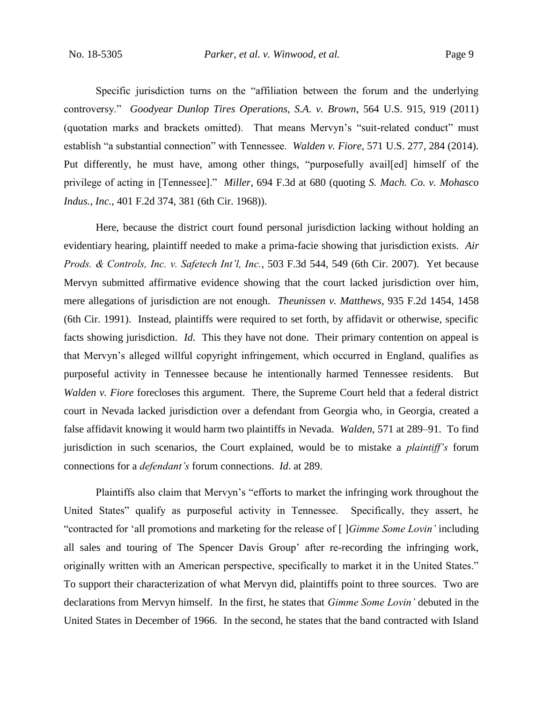Specific jurisdiction turns on the "affiliation between the forum and the underlying controversy." *Goodyear Dunlop Tires Operations, S.A. v. Brown*, 564 U.S. 915, 919 (2011) (quotation marks and brackets omitted). That means Mervyn's "suit-related conduct" must establish "a substantial connection" with Tennessee. *Walden v. Fiore*, 571 U.S. 277, 284 (2014). Put differently, he must have, among other things, "purposefully availed himself of the privilege of acting in [Tennessee]." *Miller*, 694 F.3d at 680 (quoting *S. Mach. Co. v. Mohasco Indus., Inc.*, 401 F.2d 374, 381 (6th Cir. 1968)).

Here, because the district court found personal jurisdiction lacking without holding an evidentiary hearing, plaintiff needed to make a prima-facie showing that jurisdiction exists. *Air Prods. & Controls, Inc. v. Safetech Int'l, Inc.*, 503 F.3d 544, 549 (6th Cir. 2007). Yet because Mervyn submitted affirmative evidence showing that the court lacked jurisdiction over him, mere allegations of jurisdiction are not enough. *Theunissen v. Matthews*, 935 F.2d 1454, 1458 (6th Cir. 1991). Instead, plaintiffs were required to set forth, by affidavit or otherwise, specific facts showing jurisdiction. *Id*. This they have not done. Their primary contention on appeal is that Mervyn's alleged willful copyright infringement, which occurred in England, qualifies as purposeful activity in Tennessee because he intentionally harmed Tennessee residents. But *Walden v. Fiore* forecloses this argument. There, the Supreme Court held that a federal district court in Nevada lacked jurisdiction over a defendant from Georgia who, in Georgia, created a false affidavit knowing it would harm two plaintiffs in Nevada. *Walden*, 571 at 289–91. To find jurisdiction in such scenarios, the Court explained, would be to mistake a *plaintiff's* forum connections for a *defendant's* forum connections. *Id*. at 289.

Plaintiffs also claim that Mervyn's "efforts to market the infringing work throughout the United States" qualify as purposeful activity in Tennessee. Specifically, they assert, he "contracted for 'all promotions and marketing for the release of [ ]*Gimme Some Lovin'* including all sales and touring of The Spencer Davis Group' after re-recording the infringing work, originally written with an American perspective, specifically to market it in the United States." To support their characterization of what Mervyn did, plaintiffs point to three sources. Two are declarations from Mervyn himself. In the first, he states that *Gimme Some Lovin'* debuted in the United States in December of 1966. In the second, he states that the band contracted with Island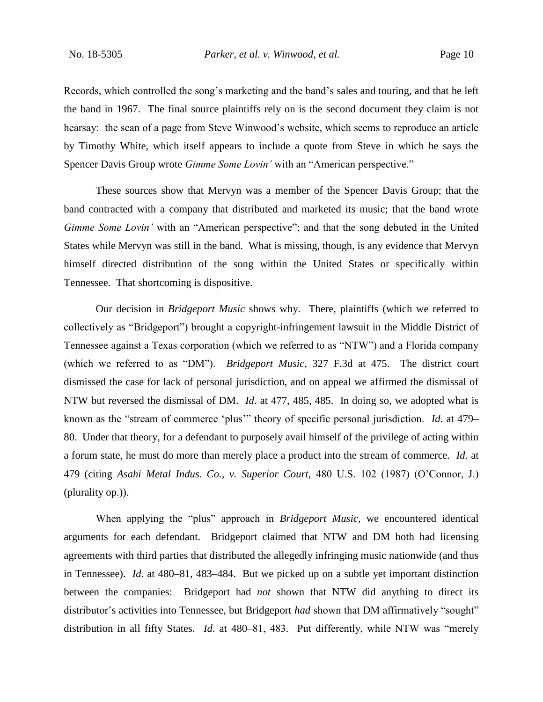Records, which controlled the song's marketing and the band's sales and touring, and that he left the band in 1967. The final source plaintiffs rely on is the second document they claim is not hearsay: the scan of a page from Steve Winwood's website, which seems to reproduce an article by Timothy White, which itself appears to include a quote from Steve in which he says the Spencer Davis Group wrote *Gimme Some Lovin'* with an "American perspective."

These sources show that Mervyn was a member of the Spencer Davis Group; that the band contracted with a company that distributed and marketed its music; that the band wrote *Gimme Some Lovin'* with an "American perspective"; and that the song debuted in the United States while Mervyn was still in the band. What is missing, though, is any evidence that Mervyn himself directed distribution of the song within the United States or specifically within Tennessee. That shortcoming is dispositive.

Our decision in *Bridgeport Music* shows why. There, plaintiffs (which we referred to collectively as "Bridgeport") brought a copyright-infringement lawsuit in the Middle District of Tennessee against a Texas corporation (which we referred to as "NTW") and a Florida company (which we referred to as "DM"). *Bridgeport Music*, 327 F.3d at 475. The district court dismissed the case for lack of personal jurisdiction, and on appeal we affirmed the dismissal of NTW but reversed the dismissal of DM. *Id*. at 477, 485, 485. In doing so, we adopted what is known as the "stream of commerce 'plus'" theory of specific personal jurisdiction. *Id*. at 479– 80. Under that theory, for a defendant to purposely avail himself of the privilege of acting within a forum state, he must do more than merely place a product into the stream of commerce. *Id*. at 479 (citing *Asahi Metal Indus. Co., v. Superior Court,* 480 U.S. 102 (1987) (O'Connor, J.) (plurality op.)).

When applying the "plus" approach in *Bridgeport Music*, we encountered identical arguments for each defendant. Bridgeport claimed that NTW and DM both had licensing agreements with third parties that distributed the allegedly infringing music nationwide (and thus in Tennessee). *Id*. at 480–81, 483–484. But we picked up on a subtle yet important distinction between the companies: Bridgeport had *not* shown that NTW did anything to direct its distributor's activities into Tennessee, but Bridgeport *had* shown that DM affirmatively "sought" distribution in all fifty States. *Id*. at 480–81, 483. Put differently, while NTW was "merely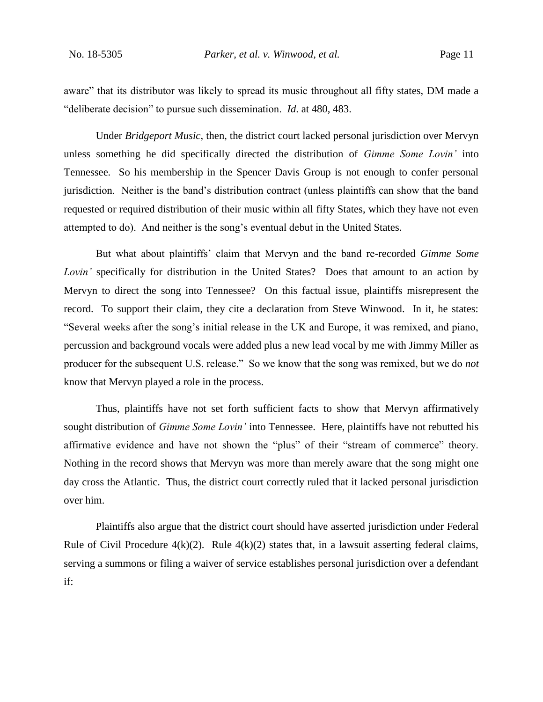aware" that its distributor was likely to spread its music throughout all fifty states, DM made a "deliberate decision" to pursue such dissemination. *Id*. at 480, 483.

Under *Bridgeport Music*, then, the district court lacked personal jurisdiction over Mervyn unless something he did specifically directed the distribution of *Gimme Some Lovin'* into Tennessee. So his membership in the Spencer Davis Group is not enough to confer personal jurisdiction. Neither is the band's distribution contract (unless plaintiffs can show that the band requested or required distribution of their music within all fifty States, which they have not even attempted to do). And neither is the song's eventual debut in the United States.

But what about plaintiffs' claim that Mervyn and the band re-recorded *Gimme Some Lovin'* specifically for distribution in the United States? Does that amount to an action by Mervyn to direct the song into Tennessee? On this factual issue, plaintiffs misrepresent the record. To support their claim, they cite a declaration from Steve Winwood. In it, he states: "Several weeks after the song's initial release in the UK and Europe, it was remixed, and piano, percussion and background vocals were added plus a new lead vocal by me with Jimmy Miller as producer for the subsequent U.S. release." So we know that the song was remixed, but we do *not* know that Mervyn played a role in the process.

Thus, plaintiffs have not set forth sufficient facts to show that Mervyn affirmatively sought distribution of *Gimme Some Lovin'* into Tennessee. Here, plaintiffs have not rebutted his affirmative evidence and have not shown the "plus" of their "stream of commerce" theory. Nothing in the record shows that Mervyn was more than merely aware that the song might one day cross the Atlantic. Thus, the district court correctly ruled that it lacked personal jurisdiction over him.

Plaintiffs also argue that the district court should have asserted jurisdiction under Federal Rule of Civil Procedure  $4(k)(2)$ . Rule  $4(k)(2)$  states that, in a lawsuit asserting federal claims, serving a summons or filing a waiver of service establishes personal jurisdiction over a defendant if: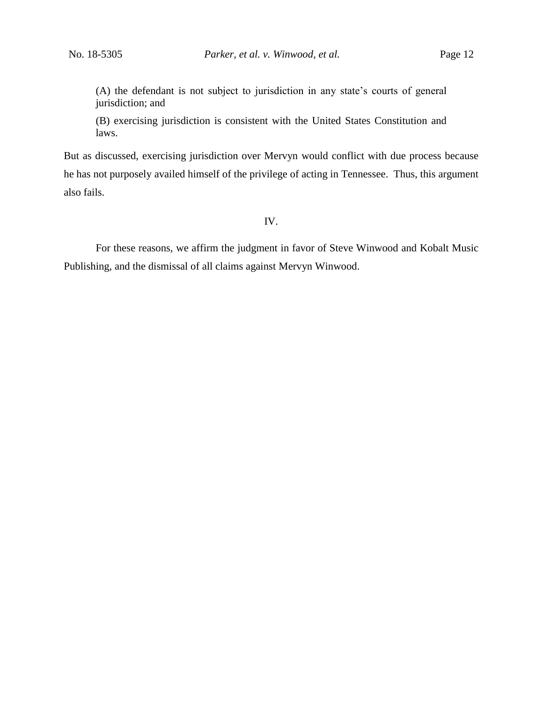(A) the defendant is not subject to jurisdiction in any state's courts of general jurisdiction; and

(B) exercising jurisdiction is consistent with the United States Constitution and laws.

But as discussed, exercising jurisdiction over Mervyn would conflict with due process because he has not purposely availed himself of the privilege of acting in Tennessee. Thus, this argument also fails.

# IV.

For these reasons, we affirm the judgment in favor of Steve Winwood and Kobalt Music Publishing, and the dismissal of all claims against Mervyn Winwood.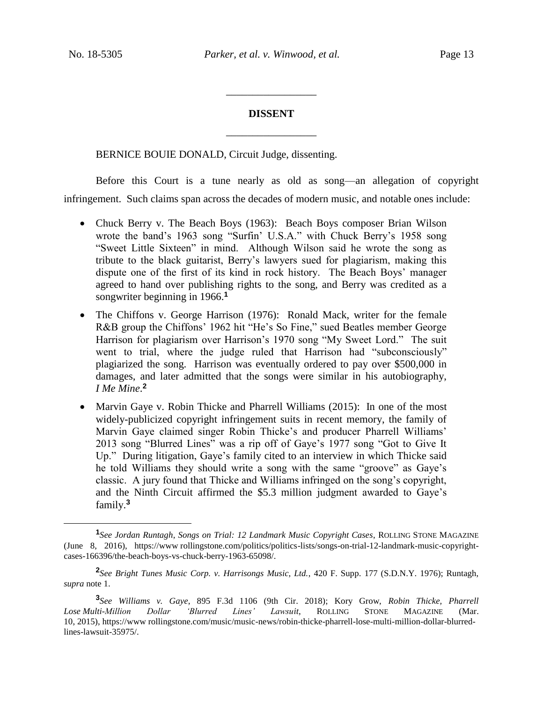$\overline{a}$ 

# **DISSENT** \_\_\_\_\_\_\_\_\_\_\_\_\_\_\_\_\_

\_\_\_\_\_\_\_\_\_\_\_\_\_\_\_\_\_

BERNICE BOUIE DONALD, Circuit Judge, dissenting.

Before this Court is a tune nearly as old as song—an allegation of copyright infringement. Such claims span across the decades of modern music, and notable ones include:

- Chuck Berry v. The Beach Boys (1963): Beach Boys composer Brian Wilson wrote the band's 1963 song "Surfin' U.S.A." with Chuck Berry's 1958 song "Sweet Little Sixteen" in mind. Although Wilson said he wrote the song as tribute to the black guitarist, Berry's lawyers sued for plagiarism, making this dispute one of the first of its kind in rock history. The Beach Boys' manager agreed to hand over publishing rights to the song, and Berry was credited as a songwriter beginning in 1966.**<sup>1</sup>**
- The Chiffons v. George Harrison (1976): Ronald Mack, writer for the female R&B group the Chiffons' 1962 hit "He's So Fine," sued Beatles member George Harrison for plagiarism over Harrison's 1970 song "My Sweet Lord." The suit went to trial, where the judge ruled that Harrison had "subconsciously" plagiarized the song. Harrison was eventually ordered to pay over \$500,000 in damages, and later admitted that the songs were similar in his autobiography, *I Me Mine*. **2**
- Marvin Gaye v. Robin Thicke and Pharrell Williams (2015): In one of the most widely-publicized copyright infringement suits in recent memory, the family of Marvin Gaye claimed singer Robin Thicke's and producer Pharrell Williams' 2013 song "Blurred Lines" was a rip off of Gaye's 1977 song "Got to Give It Up." During litigation, Gaye's family cited to an interview in which Thicke said he told Williams they should write a song with the same "groove" as Gaye's classic. A jury found that Thicke and Williams infringed on the song's copyright, and the Ninth Circuit affirmed the \$5.3 million judgment awarded to Gaye's family.**<sup>3</sup>**

**<sup>1</sup>** *See Jordan Runtagh*, *Songs on Trial: 12 Landmark Music Copyright Cases*, ROLLING STONE MAGAZINE (June 8, 2016), https://www rollingstone.com/politics/politics-lists/songs-on-trial-12-landmark-music-copyrightcases-166396/the-beach-boys-vs-chuck-berry-1963-65098/.

**<sup>2</sup>** *See Bright Tunes Music Corp. v. Harrisongs Music, Ltd.*, 420 F. Supp. 177 (S.D.N.Y. 1976); Runtagh, *supra* note 1.

**<sup>3</sup>** *See Williams v. Gaye*, 895 F.3d 1106 (9th Cir. 2018); Kory Grow, *Robin Thicke, Pharrell Lose Multi-Million Dollar 'Blurred Lines' Lawsuit*, ROLLING STONE MAGAZINE (Mar. 10, 2015), https://www rollingstone.com/music/music-news/robin-thicke-pharrell-lose-multi-million-dollar-blurredlines-lawsuit-35975/.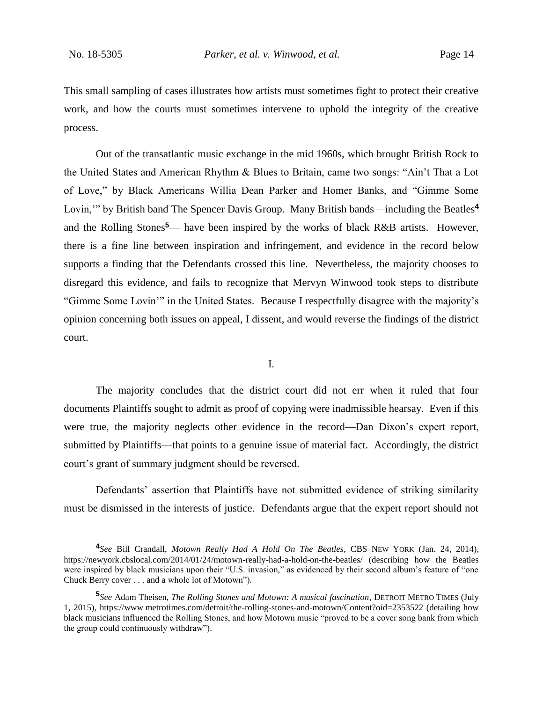$\overline{a}$ 

This small sampling of cases illustrates how artists must sometimes fight to protect their creative work, and how the courts must sometimes intervene to uphold the integrity of the creative process.

Out of the transatlantic music exchange in the mid 1960s, which brought British Rock to the United States and American Rhythm & Blues to Britain, came two songs: "Ain't That a Lot of Love," by Black Americans Willia Dean Parker and Homer Banks, and "Gimme Some Lovin,'" by British band The Spencer Davis Group. Many British bands—including the Beatles**<sup>4</sup>** and the Rolling Stones**<sup>5</sup>**— have been inspired by the works of black R&B artists. However, there is a fine line between inspiration and infringement, and evidence in the record below supports a finding that the Defendants crossed this line. Nevertheless, the majority chooses to disregard this evidence, and fails to recognize that Mervyn Winwood took steps to distribute "Gimme Some Lovin'" in the United States. Because I respectfully disagree with the majority's opinion concerning both issues on appeal, I dissent, and would reverse the findings of the district court.

I.

The majority concludes that the district court did not err when it ruled that four documents Plaintiffs sought to admit as proof of copying were inadmissible hearsay. Even if this were true, the majority neglects other evidence in the record—Dan Dixon's expert report, submitted by Plaintiffs—that points to a genuine issue of material fact. Accordingly, the district court's grant of summary judgment should be reversed.

Defendants' assertion that Plaintiffs have not submitted evidence of striking similarity must be dismissed in the interests of justice. Defendants argue that the expert report should not

**<sup>4</sup>** *See* Bill Crandall, *Motown Really Had A Hold On The Beatles*, CBS NEW YORK (Jan. 24, 2014), https://newyork.cbslocal.com/2014/01/24/motown-really-had-a-hold-on-the-beatles/ (describing how the Beatles were inspired by black musicians upon their "U.S. invasion," as evidenced by their second album's feature of "one Chuck Berry cover . . . and a whole lot of Motown").

**<sup>5</sup>** *See* Adam Theisen, *The Rolling Stones and Motown: A musical fascination*, DETROIT METRO TIMES (July 1, 2015), https://www metrotimes.com/detroit/the-rolling-stones-and-motown/Content?oid=2353522 (detailing how black musicians influenced the Rolling Stones, and how Motown music "proved to be a cover song bank from which the group could continuously withdraw").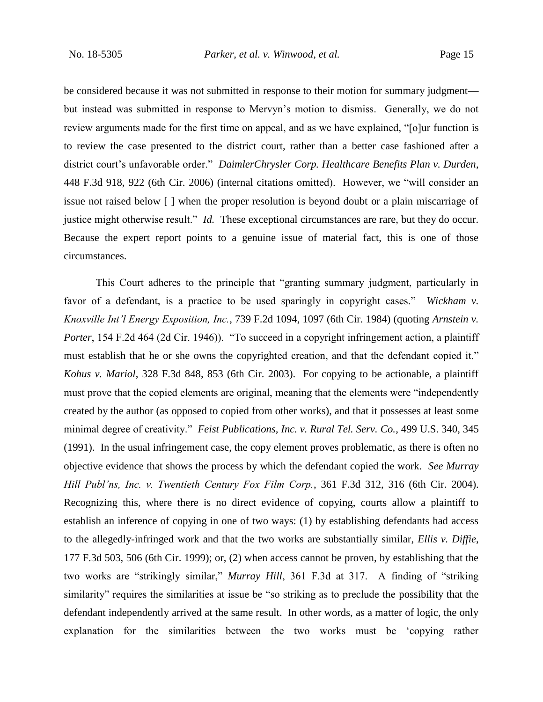be considered because it was not submitted in response to their motion for summary judgment but instead was submitted in response to Mervyn's motion to dismiss. Generally, we do not review arguments made for the first time on appeal, and as we have explained, "[o]ur function is to review the case presented to the district court, rather than a better case fashioned after a district court's unfavorable order." *DaimlerChrysler Corp. Healthcare Benefits Plan v. Durden*, 448 F.3d 918, 922 (6th Cir. 2006) (internal citations omitted). However, we "will consider an issue not raised below [ ] when the proper resolution is beyond doubt or a plain miscarriage of justice might otherwise result." *Id.* These exceptional circumstances are rare, but they do occur. Because the expert report points to a genuine issue of material fact, this is one of those circumstances.

This Court adheres to the principle that "granting summary judgment, particularly in favor of a defendant, is a practice to be used sparingly in copyright cases." *Wickham v. Knoxville Int'l Energy Exposition, Inc.*, 739 F.2d 1094, 1097 (6th Cir. 1984) (quoting *Arnstein v. Porter*, 154 F.2d 464 (2d Cir. 1946)). "To succeed in a copyright infringement action, a plaintiff must establish that he or she owns the copyrighted creation, and that the defendant copied it." *Kohus v. Mariol*, 328 F.3d 848, 853 (6th Cir. 2003). For copying to be actionable, a plaintiff must prove that the copied elements are original, meaning that the elements were "independently created by the author (as opposed to copied from other works), and that it possesses at least some minimal degree of creativity." *Feist Publications, Inc. v. Rural Tel. Serv. Co.*, 499 U.S. 340, 345 (1991). In the usual infringement case, the copy element proves problematic, as there is often no objective evidence that shows the process by which the defendant copied the work. *See Murray Hill Publ'ns, Inc. v. Twentieth Century Fox Film Corp.*, 361 F.3d 312, 316 (6th Cir. 2004). Recognizing this, where there is no direct evidence of copying, courts allow a plaintiff to establish an inference of copying in one of two ways: (1) by establishing defendants had access to the allegedly-infringed work and that the two works are substantially similar, *Ellis v. Diffie*, 177 F.3d 503, 506 (6th Cir. 1999); or, (2) when access cannot be proven, by establishing that the two works are "strikingly similar," *Murray Hill*, 361 F.3d at 317. A finding of "striking similarity" requires the similarities at issue be "so striking as to preclude the possibility that the defendant independently arrived at the same result. In other words, as a matter of logic, the only explanation for the similarities between the two works must be 'copying rather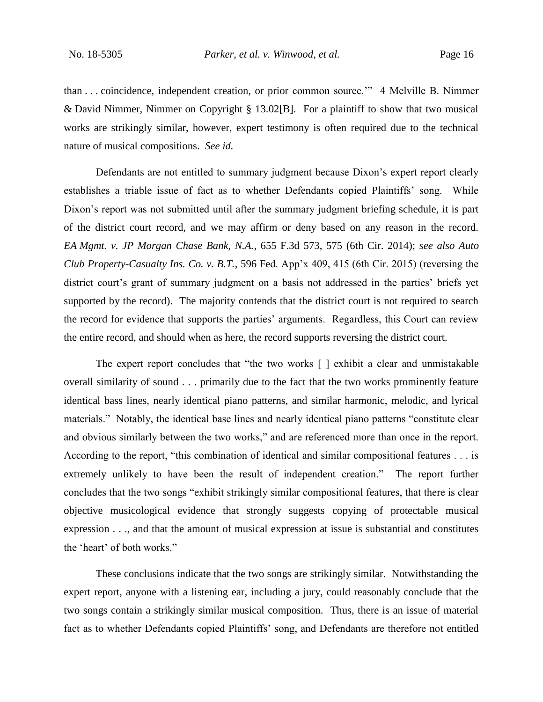than . . . coincidence, independent creation, or prior common source.'" 4 Melville B. Nimmer & David Nimmer, Nimmer on Copyright § 13.02[B]. For a plaintiff to show that two musical works are strikingly similar, however, expert testimony is often required due to the technical nature of musical compositions. *See id.*

Defendants are not entitled to summary judgment because Dixon's expert report clearly establishes a triable issue of fact as to whether Defendants copied Plaintiffs' song. While Dixon's report was not submitted until after the summary judgment briefing schedule, it is part of the district court record, and we may affirm or deny based on any reason in the record. *EA Mgmt. v. JP Morgan Chase Bank, N.A.*, 655 F.3d 573, 575 (6th Cir. 2014); *see also Auto Club Property-Casualty Ins. Co. v. B.T.*, 596 Fed. App'x 409, 415 (6th Cir. 2015) (reversing the district court's grant of summary judgment on a basis not addressed in the parties' briefs yet supported by the record). The majority contends that the district court is not required to search the record for evidence that supports the parties' arguments. Regardless, this Court can review the entire record, and should when as here, the record supports reversing the district court.

The expert report concludes that "the two works [ ] exhibit a clear and unmistakable overall similarity of sound . . . primarily due to the fact that the two works prominently feature identical bass lines, nearly identical piano patterns, and similar harmonic, melodic, and lyrical materials." Notably, the identical base lines and nearly identical piano patterns "constitute clear and obvious similarly between the two works," and are referenced more than once in the report. According to the report, "this combination of identical and similar compositional features . . . is extremely unlikely to have been the result of independent creation." The report further concludes that the two songs "exhibit strikingly similar compositional features, that there is clear objective musicological evidence that strongly suggests copying of protectable musical expression . . ., and that the amount of musical expression at issue is substantial and constitutes the 'heart' of both works."

These conclusions indicate that the two songs are strikingly similar. Notwithstanding the expert report, anyone with a listening ear, including a jury, could reasonably conclude that the two songs contain a strikingly similar musical composition. Thus, there is an issue of material fact as to whether Defendants copied Plaintiffs' song, and Defendants are therefore not entitled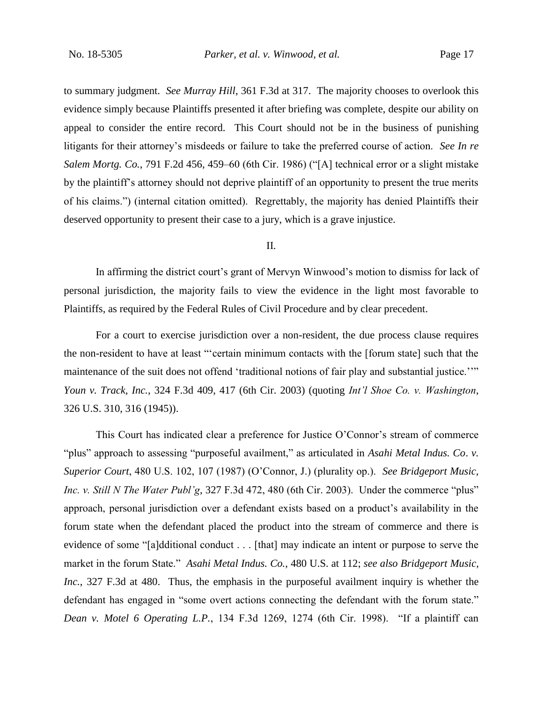to summary judgment. *See Murray Hill*, 361 F.3d at 317. The majority chooses to overlook this evidence simply because Plaintiffs presented it after briefing was complete, despite our ability on appeal to consider the entire record. This Court should not be in the business of punishing litigants for their attorney's misdeeds or failure to take the preferred course of action. *See In re Salem Mortg. Co.*, 791 F.2d 456, 459–60 (6th Cir. 1986) ("[A] technical error or a slight mistake by the plaintiff's attorney should not deprive plaintiff of an opportunity to present the true merits of his claims.") (internal citation omitted). Regrettably, the majority has denied Plaintiffs their deserved opportunity to present their case to a jury, which is a grave injustice.

#### II.

In affirming the district court's grant of Mervyn Winwood's motion to dismiss for lack of personal jurisdiction, the majority fails to view the evidence in the light most favorable to Plaintiffs, as required by the Federal Rules of Civil Procedure and by clear precedent.

For a court to exercise jurisdiction over a non-resident, the due process clause requires the non-resident to have at least "'certain minimum contacts with the [forum state] such that the maintenance of the suit does not offend 'traditional notions of fair play and substantial justice.''" *Youn v. Track, Inc.*, 324 F.3d 409, 417 (6th Cir. 2003) (quoting *Int'l Shoe Co. v. Washington*, 326 U.S. 310, 316 (1945)).

This Court has indicated clear a preference for Justice O'Connor's stream of commerce "plus" approach to assessing "purposeful availment," as articulated in *Asahi Metal Indus. Co*. *v. Superior Court*, 480 U.S. 102, 107 (1987) (O'Connor, J.) (plurality op.). *See Bridgeport Music, Inc. v. Still N The Water Publ'g*, 327 F.3d 472, 480 (6th Cir. 2003). Under the commerce "plus" approach, personal jurisdiction over a defendant exists based on a product's availability in the forum state when the defendant placed the product into the stream of commerce and there is evidence of some "[a]dditional conduct . . . [that] may indicate an intent or purpose to serve the market in the forum State." *Asahi Metal Indus. Co.*, 480 U.S. at 112; *see also Bridgeport Music, Inc.*, 327 F.3d at 480. Thus, the emphasis in the purposeful availment inquiry is whether the defendant has engaged in "some overt actions connecting the defendant with the forum state." *Dean v. Motel 6 Operating L.P.*, 134 F.3d 1269, 1274 (6th Cir. 1998). "If a plaintiff can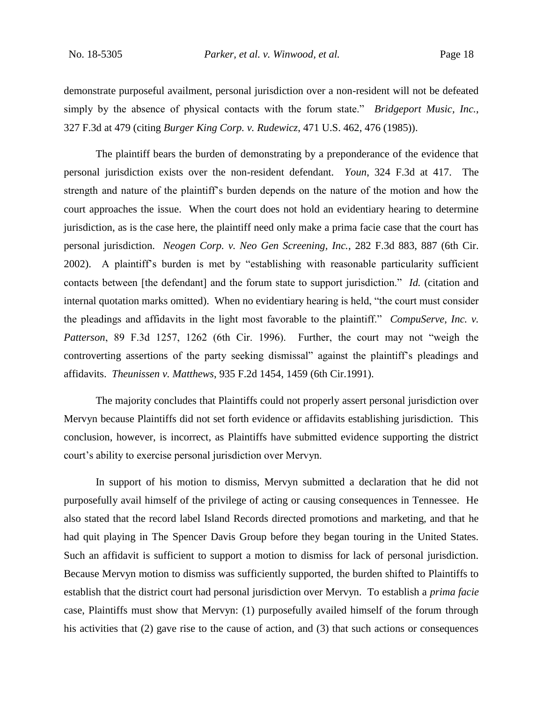demonstrate purposeful availment, personal jurisdiction over a non-resident will not be defeated simply by the absence of physical contacts with the forum state." *Bridgeport Music, Inc.*, 327 F.3d at 479 (citing *Burger King Corp. v. Rudewicz*, 471 U.S. 462, 476 (1985)).

The plaintiff bears the burden of demonstrating by a preponderance of the evidence that personal jurisdiction exists over the non-resident defendant. *Youn*, 324 F.3d at 417. The strength and nature of the plaintiff's burden depends on the nature of the motion and how the court approaches the issue. When the court does not hold an evidentiary hearing to determine jurisdiction, as is the case here, the plaintiff need only make a prima facie case that the court has personal jurisdiction. *Neogen Corp. v. Neo Gen Screening, Inc.*, 282 F.3d 883, 887 (6th Cir. 2002).A plaintiff's burden is met by "establishing with reasonable particularity sufficient contacts between [the defendant] and the forum state to support jurisdiction." *Id.* (citation and internal quotation marks omitted). When no evidentiary hearing is held, "the court must consider the pleadings and affidavits in the light most favorable to the plaintiff." *CompuServe, Inc. v. Patterson*, 89 F.3d 1257, 1262 (6th Cir. 1996). Further, the court may not "weigh the controverting assertions of the party seeking dismissal" against the plaintiff's pleadings and affidavits. *Theunissen v. Matthews*, 935 F.2d 1454, 1459 (6th Cir.1991).

The majority concludes that Plaintiffs could not properly assert personal jurisdiction over Mervyn because Plaintiffs did not set forth evidence or affidavits establishing jurisdiction. This conclusion, however, is incorrect, as Plaintiffs have submitted evidence supporting the district court's ability to exercise personal jurisdiction over Mervyn.

In support of his motion to dismiss, Mervyn submitted a declaration that he did not purposefully avail himself of the privilege of acting or causing consequences in Tennessee. He also stated that the record label Island Records directed promotions and marketing, and that he had quit playing in The Spencer Davis Group before they began touring in the United States. Such an affidavit is sufficient to support a motion to dismiss for lack of personal jurisdiction. Because Mervyn motion to dismiss was sufficiently supported, the burden shifted to Plaintiffs to establish that the district court had personal jurisdiction over Mervyn. To establish a *prima facie* case, Plaintiffs must show that Mervyn: (1) purposefully availed himself of the forum through his activities that (2) gave rise to the cause of action, and (3) that such actions or consequences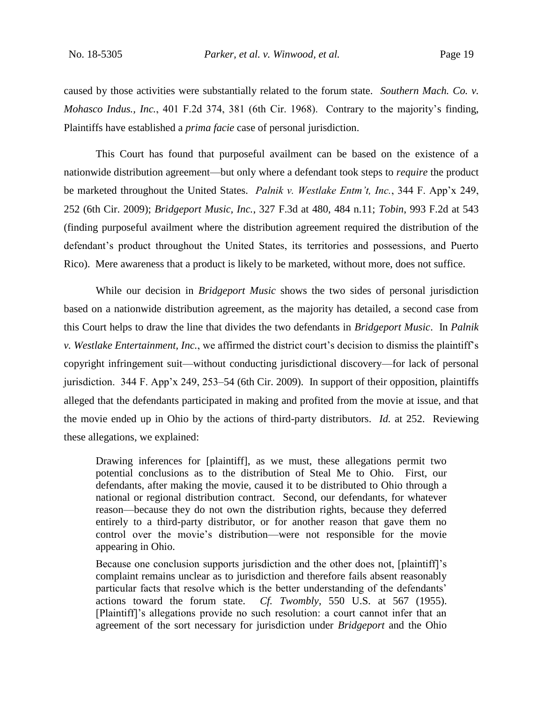caused by those activities were substantially related to the forum state. *Southern Mach. Co. v. Mohasco Indus., Inc.*, 401 F.2d 374, 381 (6th Cir. 1968). Contrary to the majority's finding, Plaintiffs have established a *prima facie* case of personal jurisdiction.

This Court has found that purposeful availment can be based on the existence of a nationwide distribution agreement—but only where a defendant took steps to *require* the product be marketed throughout the United States. *Palnik v. Westlake Entm't, Inc.*, 344 F. App'x 249, 252 (6th Cir. 2009); *Bridgeport Music, Inc.*, 327 F.3d at 480, 484 n.11; *Tobin*, 993 F.2d at 543 (finding purposeful availment where the distribution agreement required the distribution of the defendant's product throughout the United States, its territories and possessions, and Puerto Rico). Mere awareness that a product is likely to be marketed, without more, does not suffice.

While our decision in *Bridgeport Music* shows the two sides of personal jurisdiction based on a nationwide distribution agreement, as the majority has detailed, a second case from this Court helps to draw the line that divides the two defendants in *Bridgeport Music*. In *Palnik v. Westlake Entertainment, Inc.*, we affirmed the district court's decision to dismiss the plaintiff's copyright infringement suit—without conducting jurisdictional discovery—for lack of personal jurisdiction. 344 F. App'x 249, 253–54 (6th Cir. 2009). In support of their opposition, plaintiffs alleged that the defendants participated in making and profited from the movie at issue, and that the movie ended up in Ohio by the actions of third-party distributors. *Id.* at 252. Reviewing these allegations, we explained:

Drawing inferences for [plaintiff], as we must, these allegations permit two potential conclusions as to the distribution of Steal Me to Ohio. First, our defendants, after making the movie, caused it to be distributed to Ohio through a national or regional distribution contract. Second, our defendants, for whatever reason—because they do not own the distribution rights, because they deferred entirely to a third-party distributor, or for another reason that gave them no control over the movie's distribution—were not responsible for the movie appearing in Ohio.

Because one conclusion supports jurisdiction and the other does not, [plaintiff]'s complaint remains unclear as to jurisdiction and therefore fails absent reasonably particular facts that resolve which is the better understanding of the defendants' actions toward the forum state. *Cf. Twombly*, 550 U.S. at 567 (1955). [Plaintiff]'s allegations provide no such resolution: a court cannot infer that an agreement of the sort necessary for jurisdiction under *Bridgeport* and the Ohio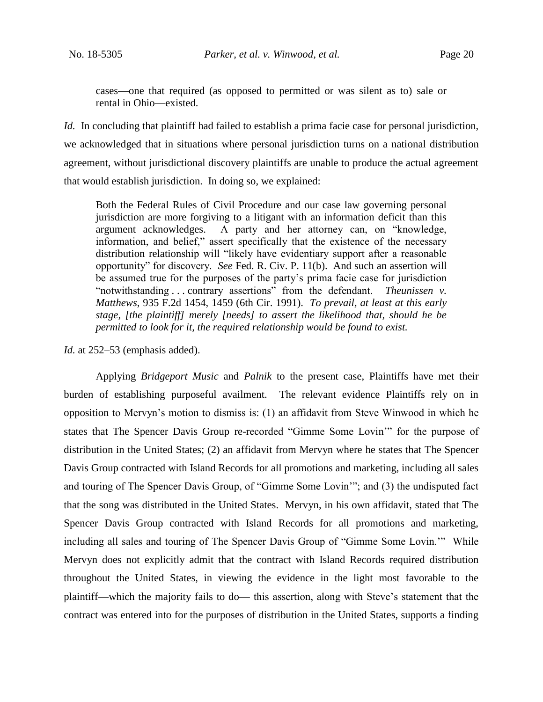cases—one that required (as opposed to permitted or was silent as to) sale or rental in Ohio—existed.

*Id.* In concluding that plaintiff had failed to establish a prima facie case for personal jurisdiction, we acknowledged that in situations where personal jurisdiction turns on a national distribution agreement, without jurisdictional discovery plaintiffs are unable to produce the actual agreement that would establish jurisdiction. In doing so, we explained:

Both the Federal Rules of Civil Procedure and our case law governing personal jurisdiction are more forgiving to a litigant with an information deficit than this argument acknowledges. A party and her attorney can, on "knowledge, information, and belief," assert specifically that the existence of the necessary distribution relationship will "likely have evidentiary support after a reasonable opportunity" for discovery. *See* Fed. R. Civ. P. 11(b). And such an assertion will be assumed true for the purposes of the party's prima facie case for jurisdiction "notwithstanding . . . contrary assertions" from the defendant. *Theunissen v. Matthews*, 935 F.2d 1454, 1459 (6th Cir. 1991). *To prevail, at least at this early stage, [the plaintiff] merely [needs] to assert the likelihood that, should he be permitted to look for it, the required relationship would be found to exist.*

*Id.* at 252–53 (emphasis added).

Applying *Bridgeport Music* and *Palnik* to the present case, Plaintiffs have met their burden of establishing purposeful availment. The relevant evidence Plaintiffs rely on in opposition to Mervyn's motion to dismiss is: (1) an affidavit from Steve Winwood in which he states that The Spencer Davis Group re-recorded "Gimme Some Lovin'" for the purpose of distribution in the United States; (2) an affidavit from Mervyn where he states that The Spencer Davis Group contracted with Island Records for all promotions and marketing, including all sales and touring of The Spencer Davis Group, of "Gimme Some Lovin'"; and (3) the undisputed fact that the song was distributed in the United States. Mervyn, in his own affidavit, stated that The Spencer Davis Group contracted with Island Records for all promotions and marketing, including all sales and touring of The Spencer Davis Group of "Gimme Some Lovin.'" While Mervyn does not explicitly admit that the contract with Island Records required distribution throughout the United States, in viewing the evidence in the light most favorable to the plaintiff—which the majority fails to do— this assertion, along with Steve's statement that the contract was entered into for the purposes of distribution in the United States, supports a finding